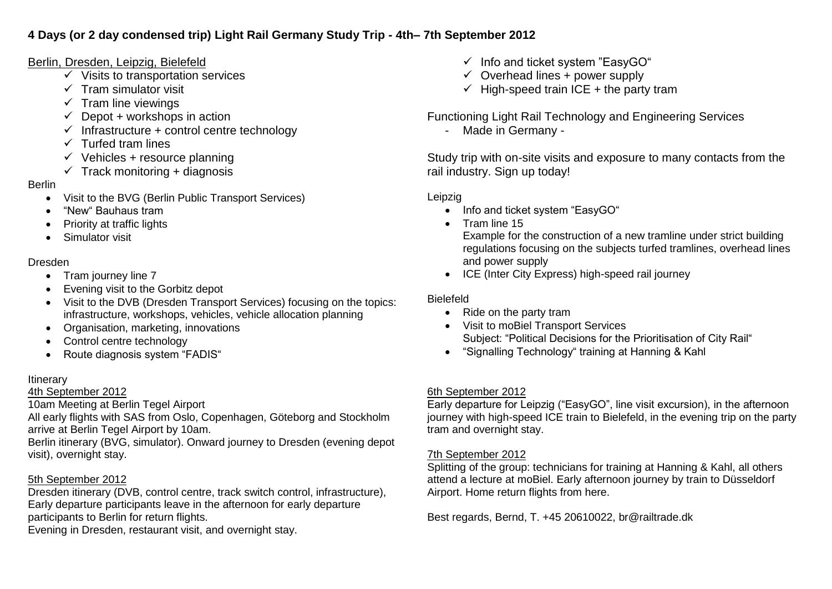## **4 Days (or 2 day condensed trip) Light Rail Germany Study Trip - 4th– 7th September 2012**

# Berlin, Dresden, Leipzig, Bielefeld

- $\checkmark$  Visits to transportation services
- $\checkmark$  Tram simulator visit
- $\checkmark$  Tram line viewings
- $\checkmark$  Depot + workshops in action
- $\checkmark$  Infrastructure + control centre technology
- $\checkmark$  Turfed tram lines
- $\checkmark$  Vehicles + resource planning
- $\checkmark$  Track monitoring + diagnosis

### Berlin

- Visit to the BVG (Berlin Public Transport Services)
- "New" Bauhaus tram
- Priority at traffic lights
- Simulator visit

## Dresden

- Tram journey line 7
- Evening visit to the Gorbitz depot
- Visit to the DVB (Dresden Transport Services) focusing on the topics: infrastructure, workshops, vehicles, vehicle allocation planning
- Organisation, marketing, innovations
- Control centre technology
- Route diagnosis system "FADIS"

### Itinerary

### 4th September 2012

10am Meeting at Berlin Tegel Airport

All early flights with SAS from Oslo, Copenhagen, Göteborg and Stockholm arrive at Berlin Tegel Airport by 10am.

Berlin itinerary (BVG, simulator). Onward journey to Dresden (evening depot visit), overnight stay.

# 5th September 2012

Dresden itinerary (DVB, control centre, track switch control, infrastructure), Early departure participants leave in the afternoon for early departure participants to Berlin for return flights. Evening in Dresden, restaurant visit, and overnight stay.

- $\checkmark$  Info and ticket system "EasyGO"
- $\checkmark$  Overhead lines + power supply
- $\checkmark$  High-speed train ICE + the party tram

Functioning Light Rail Technology and Engineering Services

- Made in Germany -

Study trip with on-site visits and exposure to many contacts from the rail industry. Sign up today!

### Leipzig

- Info and ticket system "EasyGO"
- Tram line 15 Example for the construction of a new tramline under strict building regulations focusing on the subjects turfed tramlines, overhead lines and power supply
- ICE (Inter City Express) high-speed rail journey

## Bielefeld

- Ride on the party tram
- Visit to moBiel Transport Services Subject: "Political Decisions for the Prioritisation of City Rail"
- "Signalling Technology" training at Hanning & Kahl

### 6th September 2012

Early departure for Leipzig ("EasyGO", line visit excursion), in the afternoon journey with high-speed ICE train to Bielefeld, in the evening trip on the party tram and overnight stay.

### 7th September 2012

Splitting of the group: technicians for training at Hanning & Kahl, all others attend a lecture at moBiel. Early afternoon journey by train to Düsseldorf Airport. Home return flights from here.

Best regards, Bernd, T. +45 20610022, br@railtrade.dk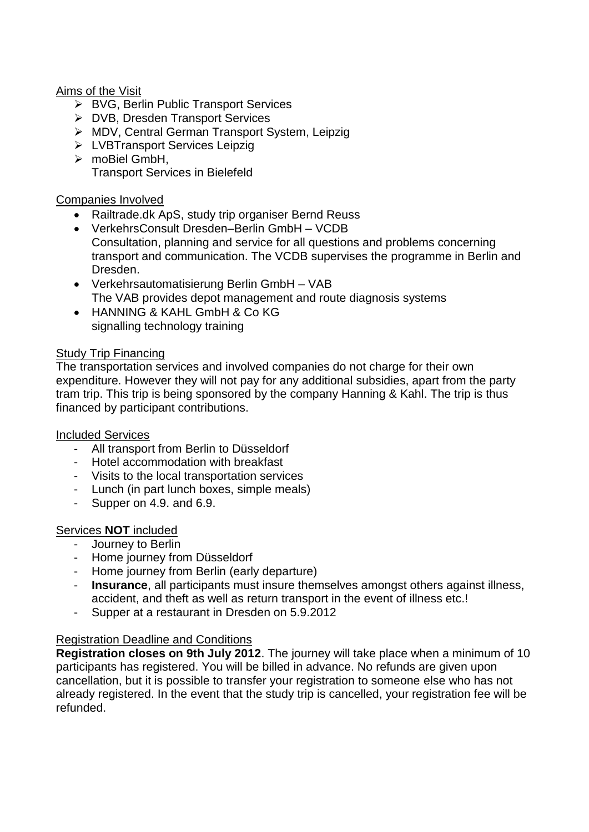### Aims of the Visit

- ▶ BVG, Berlin Public Transport Services
- ▶ DVB, Dresden Transport Services
- MDV, Central German Transport System, Leipzig
- > LVBTransport Services Leipzig
- > moBiel GmbH. Transport Services in Bielefeld

#### Companies Involved

- Railtrade.dk ApS, study trip organiser Bernd Reuss
- VerkehrsConsult Dresden–Berlin GmbH VCDB Consultation, planning and service for all questions and problems concerning transport and communication. The VCDB supervises the programme in Berlin and Dresden.
- Verkehrsautomatisierung Berlin GmbH VAB The VAB provides depot management and route diagnosis systems
- HANNING & KAHL GmbH & Co KG signalling technology training

#### Study Trip Financing

The transportation services and involved companies do not charge for their own expenditure. However they will not pay for any additional subsidies, apart from the party tram trip. This trip is being sponsored by the company Hanning & Kahl. The trip is thus financed by participant contributions.

#### Included Services

- All transport from Berlin to Düsseldorf
- Hotel accommodation with breakfast
- Visits to the local transportation services
- Lunch (in part lunch boxes, simple meals)
- Supper on 4.9. and 6.9.

#### Services **NOT** included

- Journey to Berlin
- Home journey from Düsseldorf
- Home journey from Berlin (early departure)
- **Insurance**, all participants must insure themselves amongst others against illness, accident, and theft as well as return transport in the event of illness etc.!
- Supper at a restaurant in Dresden on 5.9.2012

#### Registration Deadline and Conditions

**Registration closes on 9th July 2012**. The journey will take place when a minimum of 10 participants has registered. You will be billed in advance. No refunds are given upon cancellation, but it is possible to transfer your registration to someone else who has not already registered. In the event that the study trip is cancelled, your registration fee will be refunded.